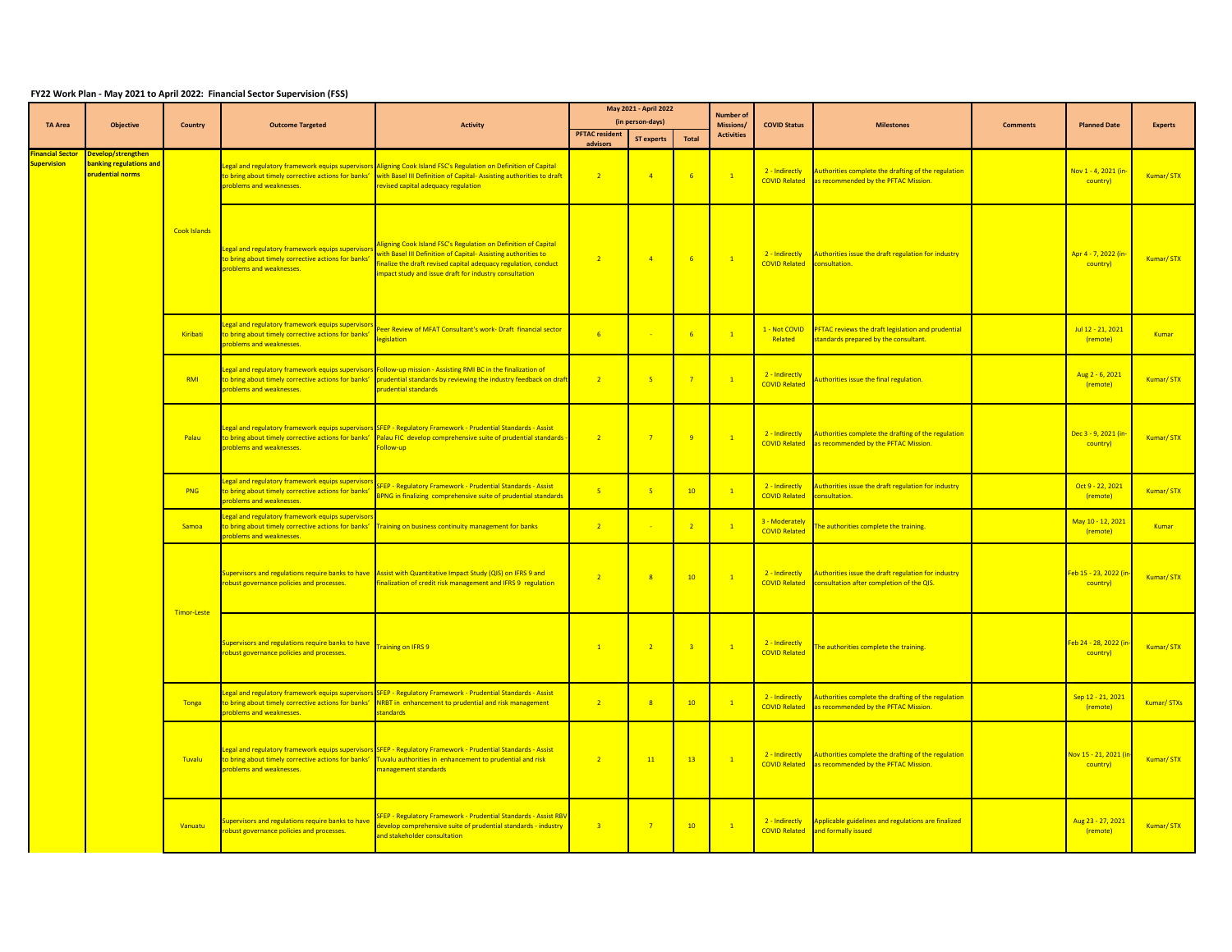## **FY22 Work Plan - May 2021 to April 2022: Financial Sector Supervision (FSS)**

|                                               |                                                                          |                     |                                                                                                                                      | May 2021 - April 2022                                                                                                                                                                                                                                                |                                   |                         | <b>Number of</b> |                   |                                        |                                                                                                 |                 |                                  |                |
|-----------------------------------------------|--------------------------------------------------------------------------|---------------------|--------------------------------------------------------------------------------------------------------------------------------------|----------------------------------------------------------------------------------------------------------------------------------------------------------------------------------------------------------------------------------------------------------------------|-----------------------------------|-------------------------|------------------|-------------------|----------------------------------------|-------------------------------------------------------------------------------------------------|-----------------|----------------------------------|----------------|
| <b>TA Area</b>                                | <b>Objective</b>                                                         | Country             | <b>Outcome Targeted</b>                                                                                                              | <b>Activity</b>                                                                                                                                                                                                                                                      |                                   | (in person-days)        |                  | Missions/         | <b>COVID Status</b>                    | <b>Milestones</b>                                                                               | <b>Comments</b> | <b>Planned Date</b>              | <b>Experts</b> |
|                                               |                                                                          |                     |                                                                                                                                      |                                                                                                                                                                                                                                                                      | <b>PFTAC</b> resident<br>advisors | <b>ST experts</b>       | Total            | <b>Activities</b> |                                        |                                                                                                 |                 |                                  |                |
| <b>Financial Sector</b><br><b>Supervision</b> | Develop/strengthen<br><b>banking regulations and</b><br>orudential norms |                     | o bring about timely corrective actions for banks'<br>problems and weaknesses.                                                       | egal and regulatory framework equips supervisors Aligning Cook Island FSC's Regulation on Definition of Capital<br>with Basel III Definition of Capital- Assisting authorities to draft<br>evised capital adequacy regulation                                        | $\overline{2}$                    | $\overline{4}$          | 6                | $\overline{1}$    | 2 - Indirectly<br><b>COVID Related</b> | Authorities complete the drafting of the regulation<br>as recommended by the PFTAC Mission.     |                 | Nov 1 - 4, 2021 (in<br>country)  | Kumar/STX      |
|                                               |                                                                          | <b>Cook Islands</b> | Legal and regulatory framework equips supervisors<br>to bring about timely corrective actions for banks'<br>problems and weaknesses. | Aligning Cook Island FSC's Regulation on Definition of Capital<br>with Basel III Definition of Capital-Assisting authorities to<br>inalize the draft revised capital adequacy regulation, conduct<br>mpact study and issue draft for industry consultation           | $\overline{2}$                    | $\overline{4}$          | 6                | $\sqrt{1}$        | 2 - Indirectly<br><b>COVID Related</b> | Authorities issue the draft regulation for industry<br>consultation.                            |                 | Apr 4 - 7, 2022 (in<br>country)  | Kumar/STX      |
|                                               |                                                                          | Kiribati            | egal and regulatory framework equips supervisor.<br>to bring about timely corrective actions for banks'<br>problems and weaknesses.  | eer Review of MFAT Consultant's work- Draft financial sector<br>egislation                                                                                                                                                                                           | $-6$                              |                         | 6                | $\mathbf{1}$      | 1 - Not COVID<br>Related               | PFTAC reviews the draft legislation and prudential<br>standards prepared by the consultant.     |                 | Jul 12 - 21, 2021<br>(remote)    | Kumar          |
|                                               |                                                                          | RMI                 | problems and weaknesses.                                                                                                             | Legal and regulatory framework equips supervisors Follow-up mission - Assisting RMI BC in the finalization of<br>to bring about timely corrective actions for banks' prudential standards by reviewing the industry feedback on draft<br><b>prudential standards</b> | $\overline{2}$                    | 5 <sup>1</sup>          | $\overline{7}$   | $\vert 1 \vert$   | 2 - Indirectly<br><b>COVID Related</b> | Authorities issue the final regulation.                                                         |                 | Aug 2 - 6, 2021<br>(remote)      | Kumar/STX      |
|                                               |                                                                          | Palau               | to bring about timely corrective actions for banks'<br>problems and weaknesses.                                                      | egal and regulatory framework equips supervisors SFEP - Regulatory Framework - Prudential Standards - Assist<br>Palau FIC develop comprehensive suite of prudential standards -<br>Follow-up                                                                         | $\overline{2}$                    | $\overline{7}$          | 9                | $\sqrt{1}$        | 2 - Indirectly<br><b>COVID Related</b> | Authorities complete the drafting of the regulation<br>as recommended by the PFTAC Mission.     |                 | Dec 3 - 9, 2021 (in-<br>country) | Kumar/STX      |
|                                               |                                                                          | <b>PNG</b>          | egal and regulatory framework equips supervisors.<br>to bring about timely corrective actions for banks'<br>problems and weaknesses. | SFEP - Regulatory Framework - Prudential Standards - Assist<br>BPNG in finalizing comprehensive suite of prudential standards                                                                                                                                        | $-5$                              | $-5$                    | 10               | $\mathbf{1}$      | 2 - Indirectly<br><b>COVID Related</b> | Authorities issue the draft regulation for industry<br>consultation.                            |                 | Oct 9 - 22, 2021<br>(remote)     | Kumar/STX      |
|                                               |                                                                          | Samoa               | egal and regulatory framework equips supervisor.<br>problems and weaknesses.                                                         | to bring about timely corrective actions for banks' Training on business continuity management for banks                                                                                                                                                             | $\overline{2}$                    |                         | $\overline{2}$   | $\overline{1}$    | 3 - Moderately<br><b>COVID Related</b> | The authorities complete the training.                                                          |                 | May 10 - 12, 2021<br>(remote)    | Kumar          |
|                                               |                                                                          | Timor-Leste         | obust governance policies and processes.                                                                                             | upervisors and regulations require banks to have Assist with Quantitative Impact Study (QIS) on IFRS 9 and<br>nalization of credit risk management and IFRS 9 regulation                                                                                             | $\overline{2}$                    | $\overline{\mathbf{8}}$ | 10               | $\mathbf{1}$      | 2 - Indirectly<br><b>COVID Related</b> | Authorities issue the draft regulation for industry<br>onsultation after completion of the QIS. |                 | eb 15 - 23, 2022 (in<br>country) | Kumar/STX      |
|                                               |                                                                          |                     | upervisors and regulations require banks to have<br>obust governance policies and processes.                                         | <b>Fraining on IFRS 9</b>                                                                                                                                                                                                                                            | $\sqrt{1}$                        | $\overline{2}$          |                  | $\overline{1}$    | 2 - Indirectly<br><b>COVID Related</b> | he authorities complete the training.                                                           |                 | eb 24 - 28, 2022 (ir<br>country) | Kumar/STX      |
|                                               |                                                                          | Tonga               | egal and regulatory framework equips supervisors<br>to bring about timely corrective actions for banks'<br>problems and weaknesses.  | <b>SFEP - Regulatory Framework - Prudential Standards - Assist</b><br>NRBT in enhancement to prudential and risk management<br>tandards                                                                                                                              | $\overline{2}$                    | 8 <sup>°</sup>          | 10               | $\overline{1}$    | 2 - Indirectly<br><b>COVID Related</b> | Authorities complete the drafting of the regulation<br>as recommended by the PFTAC Mission.     |                 | Sep 12 - 21, 2021<br>(remote)    | Kumar/ STXs    |
|                                               |                                                                          | Tuvalu              | to bring about timely corrective actions for banks'<br>problems and weaknesses.                                                      | egal and regulatory framework equips supervisors SFEP - Regulatory Framework - Prudential Standards - Assist<br>Tuvalu authorities in enhancement to prudential and risk<br>nanagement standards                                                                     | $\overline{2}$                    | 11                      | 13               | $\sqrt{1}$        | 2 - Indirectly<br><b>COVID Related</b> | Authorities complete the drafting of the regulation<br>as recommended by the PFTAC Mission.     |                 | Nov 15 - 21, 2021 (i<br>country) | Kumar/STX      |
|                                               |                                                                          | Vanuatu             | <b>Supervisors and regulations require banks to have</b><br>obust governance policies and processes.                                 | <b>SFEP - Regulatory Framework - Prudential Standards - Assist RB</b><br>develop comprehensive suite of prudential standards - industry<br>and stakeholder consultation                                                                                              | $\overline{3}$                    | $\overline{7}$          | 10               | $\mathbf{1}$      | 2 - Indirectly<br><b>COVID Related</b> | Applicable guidelines and regulations are finalized<br>and formally issued                      |                 | Aug 23 - 27, 2021<br>(remote)    | Kumar/STX      |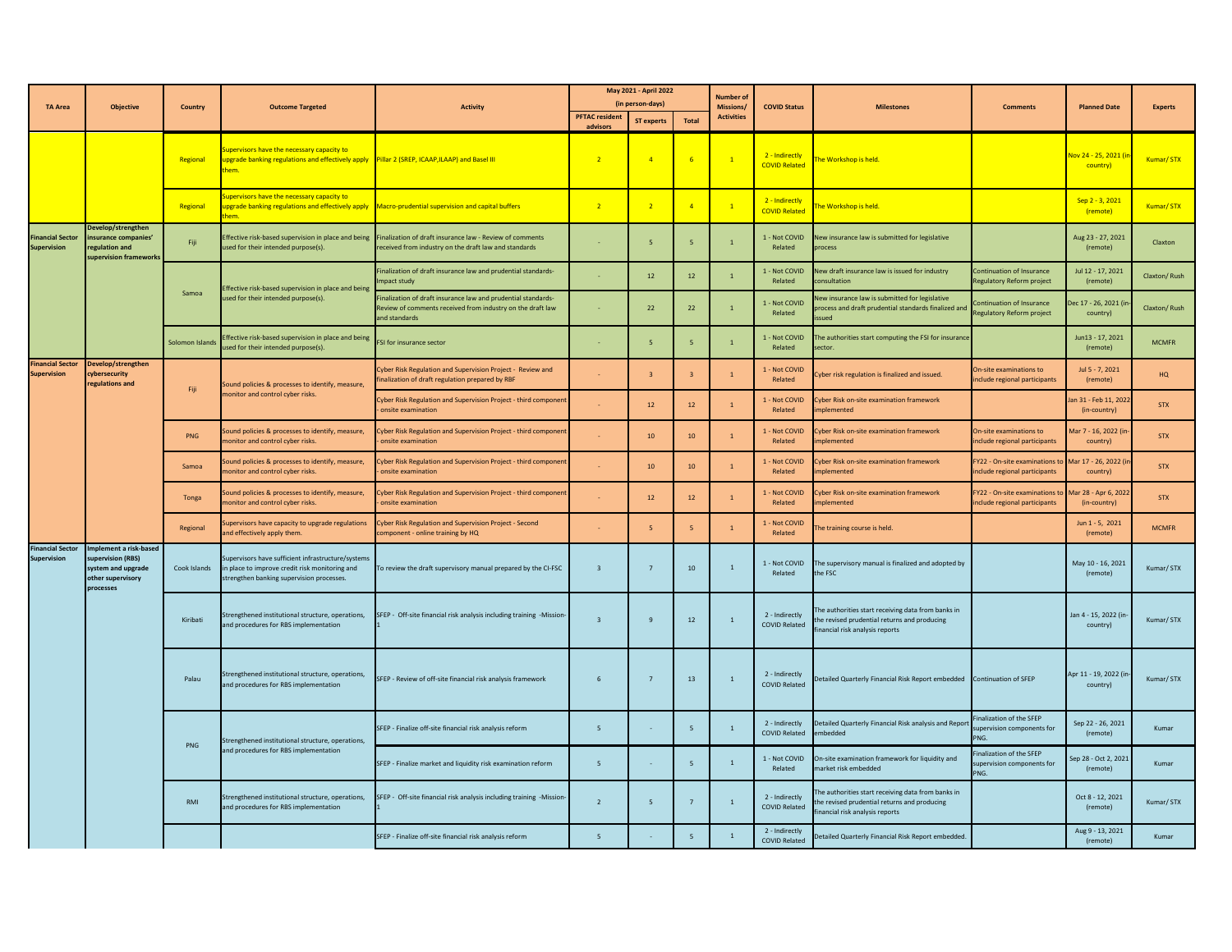|                                               |                                                                                                     |                 |                                                                                                                                                           |                                                                                                                                             |                                           | May 2021 - April 2022 |                                      | Number o            |                                        |                                                                                                                                      |                                                                                       |                                      |              |
|-----------------------------------------------|-----------------------------------------------------------------------------------------------------|-----------------|-----------------------------------------------------------------------------------------------------------------------------------------------------------|---------------------------------------------------------------------------------------------------------------------------------------------|-------------------------------------------|-----------------------|--------------------------------------|---------------------|----------------------------------------|--------------------------------------------------------------------------------------------------------------------------------------|---------------------------------------------------------------------------------------|--------------------------------------|--------------|
| <b>TA Area</b><br><b>Objective</b>            |                                                                                                     | Country         | <b>Outcome Targeted</b>                                                                                                                                   | <b>Activity</b>                                                                                                                             | (in person-days)<br><b>PFTAC resident</b> |                       | <b>Missions</b><br><b>Activities</b> | <b>COVID Status</b> | <b>Milestones</b>                      | Comments                                                                                                                             | <b>Planned Date</b>                                                                   | <b>Experts</b>                       |              |
|                                               |                                                                                                     |                 |                                                                                                                                                           |                                                                                                                                             | advisors                                  | <b>ST experts</b>     | <b>Total</b>                         |                     |                                        |                                                                                                                                      |                                                                                       |                                      |              |
|                                               |                                                                                                     | Regional        | <b>Supervisors have the necessary capacity to</b><br>upgrade banking regulations and effectively apply Pillar 2 (SREP, ICAAP,ILAAP) and Basel III<br>hem. |                                                                                                                                             | $\overline{2}$                            | $\overline{4}$        | $-6$                                 | $\overline{1}$      | 2 - Indirectly<br><b>COVID Related</b> | he Workshop is held.                                                                                                                 |                                                                                       | lov 24 - 25, 2021 (ir<br>country)    | Kumar/STX    |
|                                               |                                                                                                     | Regional        | <b>Supervisors have the necessary capacity to</b><br>upgrade banking regulations and effectively apply Macro-prudential supervision and capital buffers   |                                                                                                                                             | $\overline{2}$                            | $\overline{2}$        | $\overline{4}$                       | $\overline{1}$      | 2 - Indirectly<br><b>COVID Related</b> | he Workshop is held.                                                                                                                 |                                                                                       | Sep 2 - 3, 2021<br>(remote)          | Kumar/STX    |
| <b>Financial Sector</b><br><b>Supervision</b> | Develop/strengthen<br>insurance companies'<br>regulation and<br>supervision frameworks              | Fiji            | Effective risk-based supervision in place and being<br>used for their intended purpose(s).                                                                | Finalization of draft insurance law - Review of comments<br>received from industry on the draft law and standards                           | $\sim$                                    | 5 <sup>2</sup>        | $\overline{5}$                       | $\mathbf{1}$        | 1 - Not COVID<br>Related               | New insurance law is submitted for legislative<br>process                                                                            |                                                                                       | Aug 23 - 27, 2021<br>(remote)        | Claxton      |
|                                               |                                                                                                     |                 | ffective risk-based supervision in place and being                                                                                                        | inalization of draft insurance law and prudential standards-<br>npact study                                                                 |                                           | 12                    | 12                                   | $\overline{1}$      | 1 - Not COVID<br>Related               | New draft insurance law is issued for industry<br>onsultation                                                                        | <b>pntinuation of Insurance</b><br>egulatory Reform project                           | Jul 12 - 17, 2021<br>(remote)        | Claxton/Rush |
|                                               |                                                                                                     | Samoa           | ised for their intended purpose(s).                                                                                                                       | inalization of draft insurance law and prudential standards-<br>Review of comments received from industry on the draft law<br>and standards |                                           | 22                    | 22                                   | $\mathbf{1}$        | 1 - Not COVID<br>Related               | lew insurance law is submitted for legislative<br>process and draft prudential standards finalized and<br>heuz:                      | ontinuation of Insurance<br>Regulatory Reform project                                 | Dec 17 - 26, 2021 (i<br>country)     | Claxton/Rush |
|                                               |                                                                                                     | Solomon Islands | ffective risk-based supervision in place and being<br>sed for their intended purpose(s).                                                                  | SI for insurance sector                                                                                                                     |                                           | 5 <sup>2</sup>        | 5                                    | $\mathbf{1}$        | 1 - Not COVID<br>Related               | The authorities start computing the FSI for insurance<br>ector                                                                       |                                                                                       | Jun13 - 17, 2021<br>(remote)         | <b>MCMFR</b> |
| <b>Financial Sector</b><br><b>Supervision</b> | Develop/strengthen<br>cybersecurity<br>regulations and                                              | Fiji.           | Sound policies & processes to identify, measure,                                                                                                          | Lyber Risk Regulation and Supervision Project - Review and<br>inalization of draft regulation prepared by RBF                               |                                           |                       | $\overline{3}$                       | 1                   | 1 - Not COVID<br>Related               | Cyber risk regulation is finalized and issued.                                                                                       | On-site examinations to<br>nclude regional participants                               | $\ln 15 - 7.2021$<br>(remote)        | HQ           |
|                                               |                                                                                                     |                 | onitor and control cyber risks.                                                                                                                           | Cyber Risk Regulation and Supervision Project - third component<br>onsite examination                                                       |                                           | 12                    | $12$                                 | $\mathbf{1}$        | 1 - Not COVID<br>Related               | Cyber Risk on-site examination framework<br>mplemented                                                                               |                                                                                       | an 31 - Feb 11, 2022<br>(in-country) | <b>STX</b>   |
|                                               |                                                                                                     | <b>PNG</b>      | Sound policies & processes to identify, measure,<br>monitor and control cyber risks.                                                                      | Cyber Risk Regulation and Supervision Project - third component<br>onsite examination                                                       |                                           | 10                    | 10                                   | 1                   | 1 - Not COVID<br>Related               | Cyber Risk on-site examination framework<br>mplemented                                                                               | On-site examinations to<br>include regional participants                              | Mar 7 - 16, 2022 (in-<br>country)    | <b>STX</b>   |
|                                               |                                                                                                     | Samoa           | Sound policies & processes to identify, measure,<br>monitor and control cyber risks.                                                                      | Cyber Risk Regulation and Supervision Project - third component<br>onsite examination                                                       |                                           | 10                    | 10                                   | 1                   | 1 - Not COVID<br>Related               | Cyber Risk on-site examination framework<br>mplemented                                                                               | FY22 - On-site examinations to Mar 17 - 26, 2022 (in<br>include regional participants | country)                             | <b>STX</b>   |
|                                               |                                                                                                     | Tonga           | Sound policies & processes to identify, measure,<br>monitor and control cyber risks.                                                                      | Cyber Risk Regulation and Supervision Project - third component<br>onsite examination                                                       |                                           | 12                    | 12                                   | $\mathbf{1}$        | 1 - Not COVID<br>Related               | Cyber Risk on-site examination framework<br>mplemented                                                                               | FY22 - On-site examinations to<br>include regional participants                       | Mar 28 - Apr 6, 2022<br>(in-country) | <b>STX</b>   |
|                                               |                                                                                                     | Regional        | Supervisors have capacity to upgrade regulations<br>and effectively apply them.                                                                           | Cyber Risk Regulation and Supervision Project - Second<br>component - online training by HQ                                                 |                                           |                       | $\overline{\phantom{a}}$             | $1\,$               | 1 - Not COVID<br>Related               | The training course is held.                                                                                                         |                                                                                       | Jun 1 - 5, 2021<br>(remote)          | <b>MCMFR</b> |
| <b>Financial Sector</b><br>Supervision        | Implement a risk-based<br>supervision (RBS)<br>system and upgrade<br>other supervisory<br>processes | Cook Islands    | Supervisors have sufficient infrastructure/systems<br>in place to improve credit risk monitoring and<br>trengthen banking supervision processes.          | To review the draft supervisory manual prepared by the CI-FSC                                                                               | $\overline{\mathbf{3}}$                   | $7^{\circ}$           | 10 <sup>°</sup>                      | $\mathbf{1}$        | 1 - Not COVID<br>Related               | The supervisory manual is finalized and adopted by<br>the FSC                                                                        |                                                                                       | May 10 - 16, 2021<br>(remote)        | Kumar/STX    |
|                                               |                                                                                                     | Kiribati        | Strengthened institutional structure, operations,<br>Ind procedures for RBS implementation                                                                | SFEP - Off-site financial risk analysis including training -Mission                                                                         | $\overline{\mathbf{3}}$                   | 9                     | 12                                   | $\mathbf{1}$        | 2 - Indirectly<br><b>COVID Related</b> | The authorities start receiving data from banks in<br>the revised prudential returns and producing<br>inancial risk analysis reports |                                                                                       | Jan 4 - 15, 2022 (in<br>country)     | Kumar/STX    |
|                                               |                                                                                                     | Palau           | Strengthened institutional structure, operations,<br>Ind procedures for RBS implementation                                                                | SFEP - Review of off-site financial risk analysis framework                                                                                 | $\,$ 6                                    | 7                     | 13                                   | $\mathbf{1}$        | 2 - Indirectly<br><b>COVID Related</b> | Detailed Quarterly Financial Risk Report embedded Continuation of SFEP                                                               |                                                                                       | Apr 11 - 19, 2022 (in<br>country)    | Kumar/STX    |
|                                               |                                                                                                     |                 | Strengthened institutional structure, operations,                                                                                                         | SFEP - Finalize off-site financial risk analysis reform                                                                                     | 5 <sup>7</sup>                            |                       | - 5                                  | $\mathbf{1}$        | 2 - Indirectly<br><b>COVID Related</b> | Detailed Quarterly Financial Risk analysis and Report<br>embedded                                                                    | <b>Finalization of the SEEP</b><br>upervision components for<br>NG.                   | Sep 22 - 26, 2021<br>(remote)        | Kumar        |
|                                               |                                                                                                     | <b>PNG</b>      | Ind procedures for RBS implementation                                                                                                                     | SFEP - Finalize market and liquidity risk examination reform                                                                                | 5                                         |                       | -5                                   | $\mathbf{1}$        | 1 - Not COVID<br>Related               | On-site examination framework for liquidity and<br>market risk embedded                                                              | inalization of the SFEP<br>upervision components for<br>PNG                           | Sep 28 - Oct 2, 2021<br>(remote)     | Kumar        |
|                                               |                                                                                                     | RMI             | Strengthened institutional structure, operations,<br>and procedures for RBS implementation                                                                | SFEP - Off-site financial risk analysis including training -Mission-                                                                        | $\overline{2}$                            | $\overline{5}$        | $7\overline{ }$                      | $\mathbf{1}$        | 2 - Indirectly<br><b>COVID Related</b> | he authorities start receiving data from banks in<br>the revised prudential returns and producing<br>inancial risk analysis reports  |                                                                                       | Oct 8 - 12, 2021<br>(remote)         | Kumar/STX    |
|                                               |                                                                                                     |                 |                                                                                                                                                           | SFEP - Finalize off-site financial risk analysis reform                                                                                     | $\overline{5}$                            |                       | $\overline{5}$                       | $\mathbf{1}$        | 2 - Indirectly<br><b>COVID Related</b> | Detailed Quarterly Financial Risk Report embedded.                                                                                   |                                                                                       | Aug 9 - 13, 2021<br>(remote)         | Kumar        |